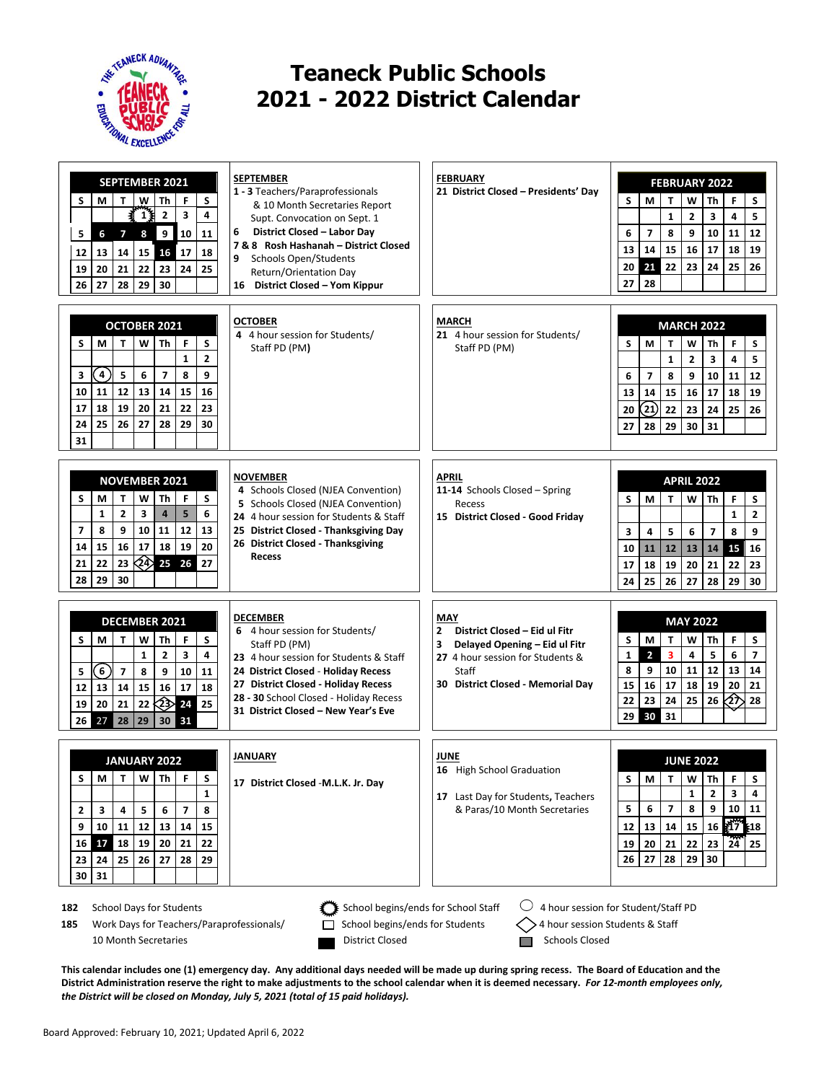

## **Teaneck Public Schools 2021 - 2022 District Calendar**

| <b>SEPTEMBER 2021</b><br>S<br>S<br>М<br>W<br>F<br>Th<br>т<br>$\frac{1}{3}$<br>₹<br>$\overline{2}$<br>3<br>4<br>9<br>10<br>5<br>6<br>$\overline{\mathbf{z}}$<br>8<br>11<br>14<br>15<br>16<br>17<br>18<br>12<br>13<br>22<br>24<br>19<br>20<br>21<br>23<br>25<br>29<br>27<br>28<br>30<br>26 | <b>SEPTEMBER</b><br>1 - 3 Teachers/Paraprofessionals<br>& 10 Month Secretaries Report<br>Supt. Convocation on Sept. 1<br>6<br>District Closed - Labor Day<br>7 & 8 Rosh Hashanah - District Closed<br><b>Schools Open/Students</b><br>9<br>Return/Orientation Day<br>16 District Closed - Yom Kippur | <b>FEBRUARY</b><br>21 District Closed - Presidents' Day                                                                                                                        | <b>FEBRUARY 2022</b><br>S<br>S<br>F<br>М<br>T<br>w<br>Th<br>$\mathbf{1}$<br>$\overline{2}$<br>3<br>4<br>5<br>$\overline{7}$<br>8<br>9<br>10<br>12<br>6<br>11<br>14<br>15<br>16<br>17<br>18<br>19<br>13<br>21<br>22<br>23<br>24<br>25<br>26<br>20<br>28<br>27                                |
|------------------------------------------------------------------------------------------------------------------------------------------------------------------------------------------------------------------------------------------------------------------------------------------|------------------------------------------------------------------------------------------------------------------------------------------------------------------------------------------------------------------------------------------------------------------------------------------------------|--------------------------------------------------------------------------------------------------------------------------------------------------------------------------------|---------------------------------------------------------------------------------------------------------------------------------------------------------------------------------------------------------------------------------------------------------------------------------------------|
| OCTOBER 2021<br>M<br>T<br>W<br>Th<br>F<br>S<br>S<br>$\overline{2}$<br>$\mathbf{1}$<br>4<br>8<br>5<br>6<br>$\overline{ }$<br>9<br>3<br>11<br>12<br>13<br>15<br>10<br>14<br>16<br>20<br>21<br>22<br>23<br>17<br>18<br>19<br>24<br>25<br>26<br>27<br>28<br>29<br>30<br>31                   | <b>OCTOBER</b><br>4 4 hour session for Students/<br>Staff PD (PM)                                                                                                                                                                                                                                    | <b>MARCH</b><br>21 4 hour session for Students/<br>Staff PD (PM)                                                                                                               | <b>MARCH 2022</b><br>M<br>W<br>F<br>S<br>S<br>т<br>Th<br>$\mathbf{1}$<br>$\overline{2}$<br>4<br>5<br>3<br>$\overline{7}$<br>8<br>9<br>12<br>6<br>10<br>11<br>14<br>15<br>16<br>17<br>19<br>13<br>18<br>$\left( 21\right)$<br>20<br>22<br>23<br>24<br>25<br>26<br>28<br>29<br>30<br>31<br>27 |
| <b>NOVEMBER 2021</b><br>S<br>М<br>T<br>W<br>Th<br>F<br>S<br>$\mathbf{2}$<br>3<br>5<br>6<br>1<br>$\overline{4}$<br>$\overline{7}$<br>8<br>9<br>10<br>11<br>12<br>13<br>15<br>16<br>17<br>18<br>19<br>20<br>14<br>$(24)$ 25 26<br>21<br>22<br>23<br>27<br>30<br>28<br>29                   | <b>NOVEMBER</b><br>4 Schools Closed (NJEA Convention)<br>5 Schools Closed (NJEA Convention)<br>24 4 hour session for Students & Staff<br>25 District Closed - Thanksgiving Day<br>26 District Closed - Thanksgiving<br><b>Recess</b>                                                                 | <b>APRIL</b><br>11-14 Schools Closed - Spring<br>Recess<br>15 District Closed - Good Friday                                                                                    | <b>APRIL 2022</b><br>W<br>F<br>S<br>M<br>T<br>Th<br>S<br>$\mathbf{2}$<br>$\mathbf{1}$<br>8<br>3<br>4<br>5<br>6<br>$\overline{\phantom{a}}$<br>9<br>11<br>15<br>16<br>10<br>12<br>13<br>14<br>18<br>19<br>20<br>21<br>22<br>23<br>17<br>25<br>27<br>28<br>29<br>24<br>26<br>30               |
| <b>DECEMBER 2021</b><br>S<br>S<br>F<br>М<br>W<br>Τh<br>т<br>$\mathbf{1}$<br>$\overline{2}$<br>3<br>4<br>6<br>$\overline{7}$<br>8<br>9<br>10<br>11<br>5<br>12<br>13<br>15<br>16<br>17<br>18<br>14<br>24<br>19<br>20<br>21<br>22<br>25<br>28<br>29<br>30 31<br>27<br>26                    | <b>DECEMBER</b><br>6 4 hour session for Students/<br>Staff PD (PM)<br>23 4 hour session for Students & Staff<br>24 District Closed - Holiday Recess<br>27 District Closed - Holiday Recess<br>28 - 30 School Closed - Holiday Recess<br>31 District Closed - New Year's Eve                          | MAY<br>$\overline{2}$<br>District Closed - Eid ul Fitr<br>3<br>Delayed Opening - Eid ul Fitr<br>27 4 hour session for Students &<br>Staff<br>30 District Closed - Memorial Day | <b>MAY 2022</b><br>F<br>S<br>S<br>М<br>T<br>W<br>Th<br>$\overline{2}$<br>$\overline{\mathbf{3}}$<br>4<br>5<br>6<br>$\overline{7}$<br>1<br>8<br>9<br>10<br>11<br>12<br>13<br>14<br>15<br>16<br>17<br>18<br>19<br>20<br>21<br>∕27े<br>22<br>23<br>25<br>26<br>28<br>24<br>30<br>31<br>29      |
| <b>JANUARY 2022</b><br>W<br>Th  <br>F.<br>S<br>М<br>Τ<br>s<br>$\mathbf{1}$<br>5<br>$\overline{\mathbf{z}}$<br>$\mathbf{2}$<br>3<br>4<br>6<br>8<br>12<br>13<br>14<br>9<br>10<br>11<br>15<br>16 17<br>18<br>19<br>20<br>21<br>22<br>25<br>26<br>27<br>28<br>23<br>24<br>29<br>31<br>30     | JANUARY<br>17 District Closed -M.L.K. Jr. Day                                                                                                                                                                                                                                                        | JUNE<br>16 High School Graduation<br>17 Last Day for Students, Teachers<br>& Paras/10 Month Secretaries                                                                        | <b>JUNE 2022</b><br>W<br>F<br>S<br>S<br>М<br>т<br>Th<br>$\mathbf{1}$<br>$\mathbf{2}$<br>3<br>4<br>5<br>$\overline{ }$<br>8<br>9<br>10<br>6<br>11<br><u>፣</u> 17<br>16<br>13<br>14<br>15<br>12<br>18ع<br>24<br>20<br>22<br>23<br>25<br>21<br>19<br>27<br>29<br>26<br>28<br>30                |

185 Work Days for Teachers/Paraprofessionals/  $\Box$  School begins/ends for Students  $\Diamond$  4 hour session Students & Staff 10 Month Secretaries **District Closed** District Closed **District Closed** Schools Closed

182 School Days for Students School begins/ends for School Staff  $\Box$  4 hour session for Student/Staff PD

**This calendar includes one (1) emergency day. Any additional days needed will be made up during spring recess. The Board of Education and the District Administration reserve the right to make adjustments to the school calendar when it is deemed necessary.** *For 12-month employees only, the District will be closed on Monday, July 5, 2021 (total of 15 paid holidays).*